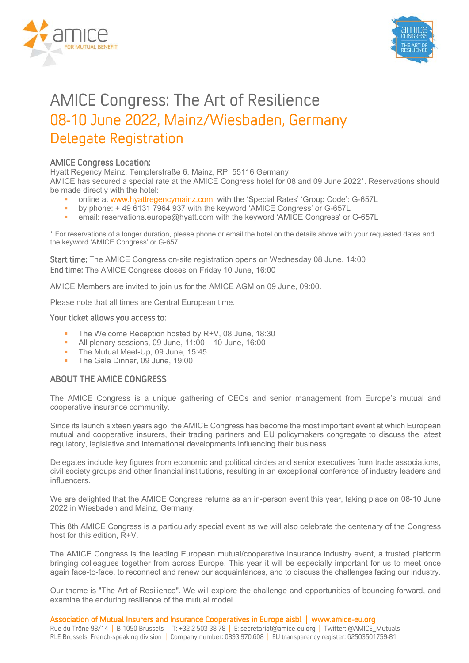



# AMICE Congress: The Art of Resilience 08-10 June 2022, Mainz/Wiesbaden, Germany Delegate Registration

# AMICE Congress Location:

Hyatt Regency Mainz, Templerstraße 6, Mainz, RP, 55116 Germany

AMICE has secured a special rate at the AMICE Congress hotel for 08 and 09 June 2022\*. Reservations should be made directly with the hotel:

- online at www.hyattregencymainz.com, with the 'Special Rates' 'Group Code': G-657L
- by phone: + 49 6131 7964 937 with the keyword 'AMICE Congress' or G-657L
- email: reservations.europe@hyatt.com with the keyword 'AMICE Congress' or G-657L

\* For reservations of a longer duration, please phone or email the hotel on the details above with your requested dates and the keyword 'AMICE Congress' or G-657L

Start time: The AMICE Congress on-site registration opens on Wednesday 08 June, 14:00 End time: The AMICE Congress closes on Friday 10 June, 16:00

AMICE Members are invited to join us for the AMICE AGM on 09 June, 09:00.

Please note that all times are Central European time.

#### Your ticket allows you access to:

- The Welcome Reception hosted by R+V, 08 June, 18:30
- All plenary sessions, 09 June,  $11:00 10$  June,  $16:00$
- The Mutual Meet-Up, 09 June, 15:45
- The Gala Dinner, 09 June, 19:00

## ABOUT THE AMICE CONGRESS

The AMICE Congress is a unique gathering of CEOs and senior management from Europe's mutual and cooperative insurance community.

Since its launch sixteen years ago, the AMICE Congress has become the most important event at which European mutual and cooperative insurers, their trading partners and EU policymakers congregate to discuss the latest regulatory, legislative and international developments influencing their business.

Delegates include key figures from economic and political circles and senior executives from trade associations, civil society groups and other financial institutions, resulting in an exceptional conference of industry leaders and influencers.

We are delighted that the AMICE Congress returns as an in-person event this year, taking place on 08-10 June 2022 in Wiesbaden and Mainz, Germany.

This 8th AMICE Congress is a particularly special event as we will also celebrate the centenary of the Congress host for this edition, R+V.

The AMICE Congress is the leading European mutual/cooperative insurance industry event, a trusted platform bringing colleagues together from across Europe. This year it will be especially important for us to meet once again face-to-face, to reconnect and renew our acquaintances, and to discuss the challenges facing our industry.

Our theme is "The Art of Resilience". We will explore the challenge and opportunities of bouncing forward, and examine the enduring resilience of the mutual model.

Association of Mutual Insurers and Insurance Cooperatives in Europe aisbl | www.amice-eu.org

Rue du Trône 98/14 | B-1050 Brussels | T: +32 2 503 38 78 | E: secretariat@amice-eu.org | Twitter: @AMICE\_Mutuals RLE Brussels, French-speaking division | Company number: 0893.970.608 | EU transparency register: 62503501759-81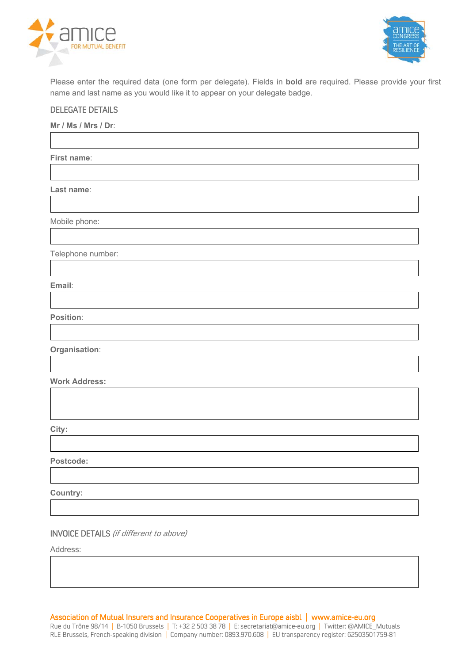



Please enter the required data (one form per delegate). Fields in **bold** are required. Please provide your first name and last name as you would like it to appear on your delegate badge.

#### DELEGATE DETAILS

**Mr / Ms / Mrs / Dr**:

**First name**:

**Last name**:

Mobile phone:

Telephone number:

**Email**:

**Position**:

**Organisation**:

**Work Address:** 

**City:** 

**Postcode:** 

**Country:** 

INVOICE DETAILS (if different to above)

Address:

Association of Mutual Insurers and Insurance Cooperatives in Europe aisbl | www.amice-eu.org Rue du Trône 98/14 | B-1050 Brussels | T: +32 2 503 38 78 | E: secretariat@amice-eu.org | Twitter: @AMICE\_Mutuals RLE Brussels, French-speaking division | Company number: 0893.970.608 | EU transparency register: 62503501759-81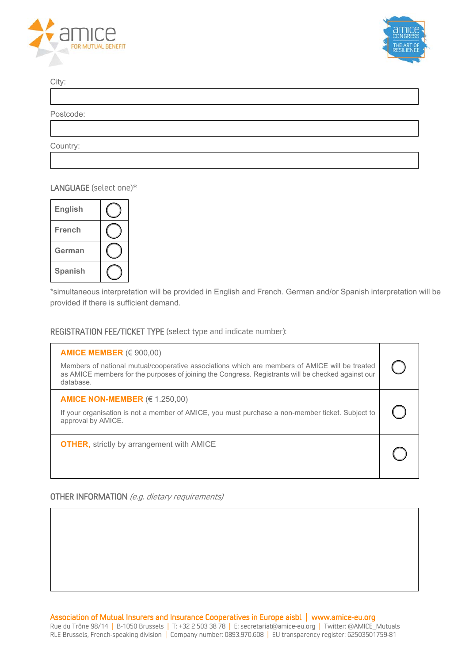



City:

Postcode:

Country:

#### LANGUAGE (select one)\*



\*simultaneous interpretation will be provided in English and French. German and/or Spanish interpretation will be provided if there is sufficient demand.

#### REGISTRATION FEE/TICKET TYPE (select type and indicate number):

| AMICE MEMBER $(\in 900,00)$<br>Members of national mutual/cooperative associations which are members of AMICE will be treated<br>as AMICE members for the purposes of joining the Congress. Registrants will be checked against our<br>database. |  |
|--------------------------------------------------------------------------------------------------------------------------------------------------------------------------------------------------------------------------------------------------|--|
| AMICE NON-MEMBER ( $\in$ 1.250,00)<br>If your organisation is not a member of AMICE, you must purchase a non-member ticket. Subject to<br>approval by AMICE.                                                                                     |  |
| <b>OTHER, strictly by arrangement with AMICE</b>                                                                                                                                                                                                 |  |

## OTHER INFORMATION (e.g. dietary requirements)

Association of Mutual Insurers and Insurance Cooperatives in Europe aisbl | www.amice-eu.org Rue du Trône 98/14 | B-1050 Brussels | T: +32 2 503 38 78 | E: secretariat@amice-eu.org | Twitter: @AMICE\_Mutuals RLE Brussels, French-speaking division | Company number: 0893.970.608 | EU transparency register: 62503501759-81